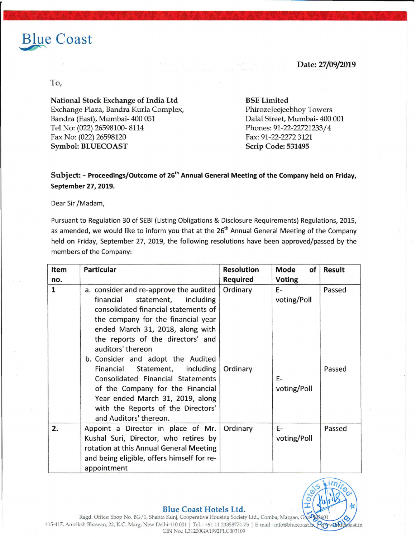# Blue Coast

### Date: 27/09/2019

## To,

National Stock Exchange of India Ltd Exchange Plaza, Bandra Kurla Complex, Bandra (East), Mumbai- 400 051 Tel No: (022) 26598100- 8114 Fax No: (022) 26598120 Symbol: BLUECOAST Scrip Code: 531495

#### BSE Limited

PhirozeJeejeebhoy Towers Dalal Street, Mumbai- 400 001 Phones: 91-22-22721233/4 Fax: 91-22-2272 3121

# Subject: - Proceedings/Outcome of 26<sup>th</sup> Annual General Meeting of the Company held on Friday, September 27, 2019.

Dear Sir /Madam,

Pursuant to Regulation 30 of SEBI (Listing Obligations & Disclosure Requirements) Regulations, 2015, as amended, we would like to inform you that at the 26<sup>th</sup> Annual General Meeting of the Company held on Friday, September 27, 2019, the following resolutions have been approved/passed by the members of the Company:

| Item         | <b>Particular</b>                          | <b>Resolution</b> | Mode<br>of    | <b>Result</b> |
|--------------|--------------------------------------------|-------------------|---------------|---------------|
| no.          |                                            | <b>Required</b>   | <b>Voting</b> |               |
| $\mathbf{1}$ | a. consider and re-approve the audited     | Ordinary          | $E-$          | Passed        |
|              | including<br>financial<br>statement,       |                   | voting/Poll   |               |
|              | consolidated financial statements of       |                   |               |               |
|              | the company for the financial year         |                   |               |               |
|              | ended March 31, 2018, along with           |                   |               |               |
|              | the reports of the directors' and          |                   |               |               |
|              | auditors' thereon                          |                   |               |               |
|              | b. Consider and adopt the Audited          |                   |               |               |
|              | Financial Statement, including             | Ordinary          |               | Passed        |
|              | Consolidated Financial Statements          |                   | $E-$          |               |
|              | of the Company for the Financial           |                   | voting/Poll   |               |
|              | Year ended March 31, 2019, along           |                   |               |               |
|              | with the Reports of the Directors'         |                   |               |               |
|              | and Auditors' thereon.                     |                   |               |               |
| 2.           | Appoint a Director in place of Mr.         | Ordinary          | E-            | Passed        |
|              | Kushal Suri, Director, who retires by      |                   | voting/Poll   |               |
|              | rotation at this Annual General Meeting    |                   |               |               |
|              | and being eligible, offers himself for re- |                   |               |               |
|              | appointment                                |                   |               |               |



#### **Blue Coast Hotels Ltd.**

Regd. Office: Shop No. BG/1, Shanta Kunj, Cooperative Housing Society Ltd., Comba, Margao, Goa09 415-417, Antriksh Bhawan, 22, K.G. Marg, New Delhi-110 001 | Tel.: +91 11 23358774-75 | E-mail: info@bluecoast.he CIN No.: L31200GA1992PLC003109